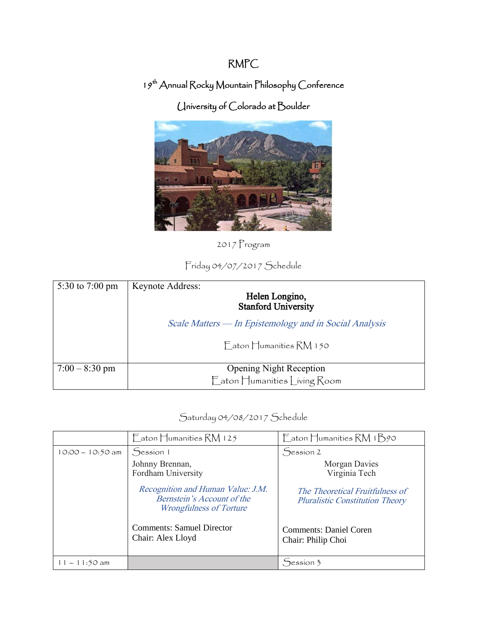## RMPC

## 19<sup>th</sup> Annual Rocky Mountain Philosophy Conference

## University of Colorado at Boulder



2017 Program

## Friday 04/07/2017 Schedule

| 5:30 to 7:00 pm  | <b>Keynote Address:</b><br>Helen Longino,<br><b>Stanford University</b> |  |  |
|------------------|-------------------------------------------------------------------------|--|--|
|                  | Scale Matters — In Epistemology and in Social Analysis                  |  |  |
|                  | Faton Humanities RM 150                                                 |  |  |
| $7:00 - 8:30$ pm | <b>Opening Night Reception</b><br>Eaton Humanities Living Room          |  |  |

Saturday 04/08/2017 Schedule

|                    | $\Gamma$ aton Humanities RM 125                                                                   | Eaton Humanities RM 1B90                                                  |
|--------------------|---------------------------------------------------------------------------------------------------|---------------------------------------------------------------------------|
| $10:00 - 10:50$ am | Session 1                                                                                         | Session 2                                                                 |
|                    | Johnny Brennan,<br>Fordham University                                                             | <b>Morgan Davies</b><br>Virginia Tech                                     |
|                    | Recognition and Human Value: J.M.<br>Bernstein's Account of the<br><i>Wrongfulness of Torture</i> | The Theoretical Fruitfulness of<br><b>Pluralistic Constitution Theory</b> |
|                    | <b>Comments: Samuel Director</b><br>Chair: Alex Lloyd                                             | Comments: Daniel Coren<br>Chair: Philip Choi                              |
| $1 - 11:50$ am     |                                                                                                   | $S$ ession 3                                                              |